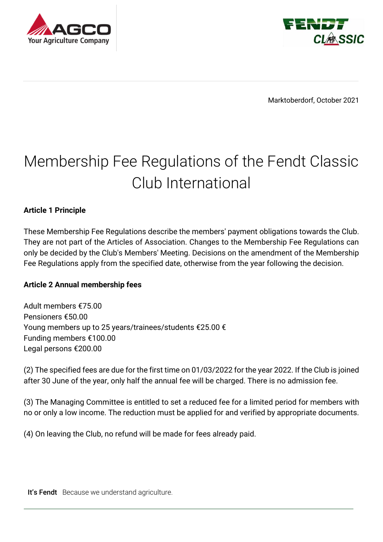



Marktoberdorf, October 2021

# Membership Fee Regulations of the Fendt Classic Club International

### **Article 1 Principle**

These Membership Fee Regulations describe the members' payment obligations towards the Club. They are not part of the Articles of Association. Changes to the Membership Fee Regulations can only be decided by the Club's Members' Meeting. Decisions on the amendment of the Membership Fee Regulations apply from the specified date, otherwise from the year following the decision.

### **Article 2 Annual membership fees**

Adult members €75.00 Pensioners €50.00 Young members up to 25 years/trainees/students €25.00 € Funding members €100.00 Legal persons €200.00

(2) The specified fees are due for the first time on 01/03/2022 for the year 2022. If the Club is joined after 30 June of the year, only half the annual fee will be charged. There is no admission fee.

(3) The Managing Committee is entitled to set a reduced fee for a limited period for members with no or only a low income. The reduction must be applied for and verified by appropriate documents.

(4) On leaving the Club, no refund will be made for fees already paid.

It's Fendt Because we understand agriculture.